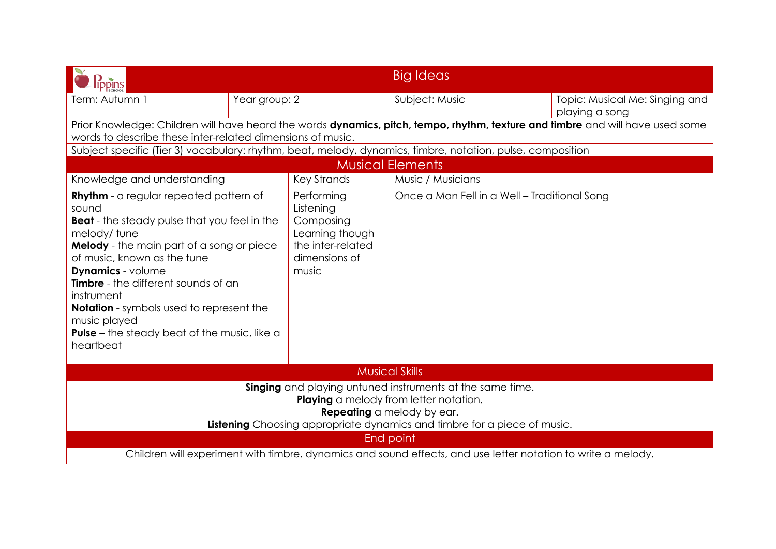| lippins                                                                                                                                                                                                                                                                                                                                                                                                                                                                                                                                    |               |                                              | <b>Big Ideas</b>                                                                                           |                                                  |  |  |
|--------------------------------------------------------------------------------------------------------------------------------------------------------------------------------------------------------------------------------------------------------------------------------------------------------------------------------------------------------------------------------------------------------------------------------------------------------------------------------------------------------------------------------------------|---------------|----------------------------------------------|------------------------------------------------------------------------------------------------------------|--------------------------------------------------|--|--|
| Term: Autumn 1                                                                                                                                                                                                                                                                                                                                                                                                                                                                                                                             | Year group: 2 |                                              | Subject: Music                                                                                             | Topic: Musical Me: Singing and<br>playing a song |  |  |
| Prior Knowledge: Children will have heard the words dynamics, pitch, tempo, rhythm, texture and timbre and will have used some<br>words to describe these inter-related dimensions of music.                                                                                                                                                                                                                                                                                                                                               |               |                                              |                                                                                                            |                                                  |  |  |
|                                                                                                                                                                                                                                                                                                                                                                                                                                                                                                                                            |               |                                              | Subject specific (Tier 3) vocabulary: rhythm, beat, melody, dynamics, timbre, notation, pulse, composition |                                                  |  |  |
|                                                                                                                                                                                                                                                                                                                                                                                                                                                                                                                                            |               |                                              | <b>Musical Elements</b>                                                                                    |                                                  |  |  |
| Knowledge and understanding                                                                                                                                                                                                                                                                                                                                                                                                                                                                                                                |               | <b>Key Strands</b>                           | Music / Musicians                                                                                          |                                                  |  |  |
| <b>Rhythm</b> - a regular repeated pattern of<br>Performing<br>sound<br>Listening<br>Composing<br><b>Beat</b> - the steady pulse that you feel in the<br>Learning though<br>melody/tune<br>Melody - the main part of a song or piece<br>the inter-related<br>of music, known as the tune<br>dimensions of<br><b>Dynamics</b> - volume<br>music<br>Timbre - the different sounds of an<br>instrument<br><b>Notation</b> - symbols used to represent the<br>music played<br><b>Pulse</b> – the steady beat of the music, like a<br>heartbeat |               | Once a Man Fell in a Well - Traditional Song |                                                                                                            |                                                  |  |  |
| <b>Musical Skills</b>                                                                                                                                                                                                                                                                                                                                                                                                                                                                                                                      |               |                                              |                                                                                                            |                                                  |  |  |
| Singing and playing untuned instruments at the same time.<br>Playing a melody from letter notation.<br><b>Repeating</b> a melody by ear.<br>Listening Choosing appropriate dynamics and timbre for a piece of music.<br>End point                                                                                                                                                                                                                                                                                                          |               |                                              |                                                                                                            |                                                  |  |  |
| Children will experiment with timbre. dynamics and sound effects, and use letter notation to write a melody.                                                                                                                                                                                                                                                                                                                                                                                                                               |               |                                              |                                                                                                            |                                                  |  |  |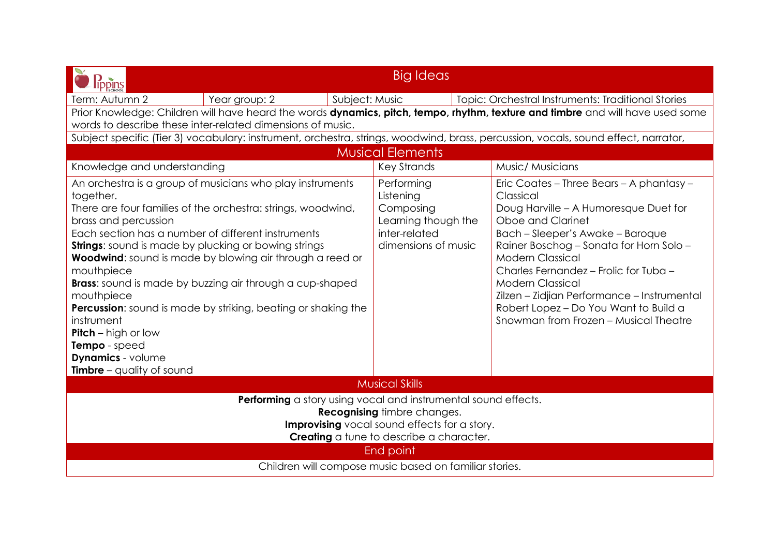| <b>Big Ideas</b><br><b>lippins</b>                                                                                                                                                                                                                                                                                                                                                                                                                                                                                                                                                                                                                         |                                                                                                     |                                                                                                                                                                                                                                                                                                                                                                                                                                    |  |  |  |  |
|------------------------------------------------------------------------------------------------------------------------------------------------------------------------------------------------------------------------------------------------------------------------------------------------------------------------------------------------------------------------------------------------------------------------------------------------------------------------------------------------------------------------------------------------------------------------------------------------------------------------------------------------------------|-----------------------------------------------------------------------------------------------------|------------------------------------------------------------------------------------------------------------------------------------------------------------------------------------------------------------------------------------------------------------------------------------------------------------------------------------------------------------------------------------------------------------------------------------|--|--|--|--|
| Term: Autumn 2<br>Year group: 2                                                                                                                                                                                                                                                                                                                                                                                                                                                                                                                                                                                                                            | Subject: Music                                                                                      | Topic: Orchestral Instruments: Traditional Stories                                                                                                                                                                                                                                                                                                                                                                                 |  |  |  |  |
| Prior Knowledge: Children will have heard the words dynamics, pitch, tempo, rhythm, texture and timbre and will have used some                                                                                                                                                                                                                                                                                                                                                                                                                                                                                                                             |                                                                                                     |                                                                                                                                                                                                                                                                                                                                                                                                                                    |  |  |  |  |
| words to describe these inter-related dimensions of music.                                                                                                                                                                                                                                                                                                                                                                                                                                                                                                                                                                                                 |                                                                                                     |                                                                                                                                                                                                                                                                                                                                                                                                                                    |  |  |  |  |
| Subject specific (Tier 3) vocabulary: instrument, orchestra, strings, woodwind, brass, percussion, vocals, sound effect, narrator,                                                                                                                                                                                                                                                                                                                                                                                                                                                                                                                         |                                                                                                     |                                                                                                                                                                                                                                                                                                                                                                                                                                    |  |  |  |  |
|                                                                                                                                                                                                                                                                                                                                                                                                                                                                                                                                                                                                                                                            | <b>Musical Elements</b>                                                                             |                                                                                                                                                                                                                                                                                                                                                                                                                                    |  |  |  |  |
| Knowledge and understanding                                                                                                                                                                                                                                                                                                                                                                                                                                                                                                                                                                                                                                | <b>Key Strands</b>                                                                                  | Music/ Musicians                                                                                                                                                                                                                                                                                                                                                                                                                   |  |  |  |  |
| An orchestra is a group of musicians who play instruments<br>together.<br>There are four families of the orchestra: strings, woodwind,<br>brass and percussion<br>Each section has a number of different instruments<br><b>Strings:</b> sound is made by plucking or bowing strings<br><b>Woodwind:</b> sound is made by blowing air through a reed or<br>mouthpiece<br><b>Brass:</b> sound is made by buzzing air through a cup-shaped<br>mouthpiece<br><b>Percussion:</b> sound is made by striking, beating or shaking the<br>instrument<br><b>Pitch</b> – high or low<br>Tempo - speed<br><b>Dynamics</b> - volume<br><b>Timbre</b> – quality of sound | Performing<br>Listening<br>Composing<br>Learning though the<br>inter-related<br>dimensions of music | Eric Coates - Three Bears - A phantasy -<br>Classical<br>Doug Harville - A Humoresque Duet for<br>Oboe and Clarinet<br>Bach - Sleeper's Awake - Baroque<br>Rainer Boschog - Sonata for Horn Solo -<br><b>Modern Classical</b><br>Charles Fernandez - Frolic for Tuba -<br><b>Modern Classical</b><br>Zilzen - Zidjian Performance - Instrumental<br>Robert Lopez - Do You Want to Build a<br>Snowman from Frozen - Musical Theatre |  |  |  |  |
| <b>Musical Skills</b>                                                                                                                                                                                                                                                                                                                                                                                                                                                                                                                                                                                                                                      |                                                                                                     |                                                                                                                                                                                                                                                                                                                                                                                                                                    |  |  |  |  |
| Performing a story using vocal and instrumental sound effects.<br><b>Recognising timbre changes.</b><br><b>Improvising</b> vocal sound effects for a story.<br>Creating a tune to describe a character.                                                                                                                                                                                                                                                                                                                                                                                                                                                    |                                                                                                     |                                                                                                                                                                                                                                                                                                                                                                                                                                    |  |  |  |  |
| <b>End point</b>                                                                                                                                                                                                                                                                                                                                                                                                                                                                                                                                                                                                                                           |                                                                                                     |                                                                                                                                                                                                                                                                                                                                                                                                                                    |  |  |  |  |
| Children will compose music based on familiar stories.                                                                                                                                                                                                                                                                                                                                                                                                                                                                                                                                                                                                     |                                                                                                     |                                                                                                                                                                                                                                                                                                                                                                                                                                    |  |  |  |  |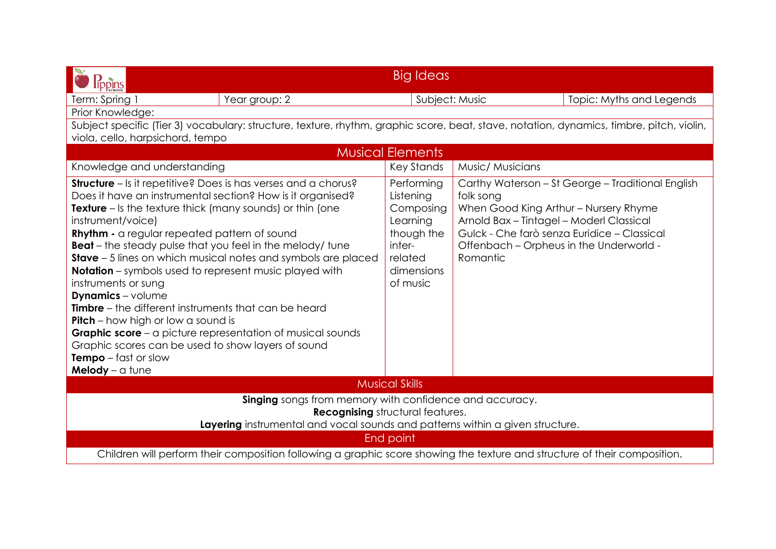| lippins                                                                                                                                                                                                                                                                                                                                                                                                                                                                                                                                                                                                                                                                                                                                                                                                                                          | <b>Big Ideas</b>                                                                                              |                                                                                                                                                       |                                                                                                  |  |  |  |
|--------------------------------------------------------------------------------------------------------------------------------------------------------------------------------------------------------------------------------------------------------------------------------------------------------------------------------------------------------------------------------------------------------------------------------------------------------------------------------------------------------------------------------------------------------------------------------------------------------------------------------------------------------------------------------------------------------------------------------------------------------------------------------------------------------------------------------------------------|---------------------------------------------------------------------------------------------------------------|-------------------------------------------------------------------------------------------------------------------------------------------------------|--------------------------------------------------------------------------------------------------|--|--|--|
| Year group: 2<br>Term: Spring 1                                                                                                                                                                                                                                                                                                                                                                                                                                                                                                                                                                                                                                                                                                                                                                                                                  | Subject: Music                                                                                                |                                                                                                                                                       | Topic: Myths and Legends                                                                         |  |  |  |
| Prior Knowledge:                                                                                                                                                                                                                                                                                                                                                                                                                                                                                                                                                                                                                                                                                                                                                                                                                                 |                                                                                                               |                                                                                                                                                       |                                                                                                  |  |  |  |
| Subject specific (Tier 3) vocabulary: structure, texture, rhythm, graphic score, beat, stave, notation, dynamics, timbre, pitch, violin,                                                                                                                                                                                                                                                                                                                                                                                                                                                                                                                                                                                                                                                                                                         |                                                                                                               |                                                                                                                                                       |                                                                                                  |  |  |  |
| viola, cello, harpsichord, tempo                                                                                                                                                                                                                                                                                                                                                                                                                                                                                                                                                                                                                                                                                                                                                                                                                 |                                                                                                               |                                                                                                                                                       |                                                                                                  |  |  |  |
|                                                                                                                                                                                                                                                                                                                                                                                                                                                                                                                                                                                                                                                                                                                                                                                                                                                  | <b>Musical Elements</b>                                                                                       |                                                                                                                                                       |                                                                                                  |  |  |  |
| Knowledge and understanding                                                                                                                                                                                                                                                                                                                                                                                                                                                                                                                                                                                                                                                                                                                                                                                                                      | <b>Key Stands</b>                                                                                             | Music/ Musicians                                                                                                                                      |                                                                                                  |  |  |  |
| <b>Structure</b> – Is it repetitive? Does is has verses and a chorus?<br>Does it have an instrumental section? How is it organised?<br><b>Texture</b> – Is the texture thick (many sounds) or thin (one<br>instrument/voice)<br><b>Rhythm - a regular repeated pattern of sound</b><br><b>Beat</b> – the steady pulse that you feel in the melody/ tune<br><b>Stave</b> – 5 lines on which musical notes and symbols are placed<br><b>Notation</b> – symbols used to represent music played with<br>instruments or sung<br><b>Dynamics</b> - volume<br><b>Timbre</b> – the different instruments that can be heard<br><b>Pitch</b> – how high or low a sound is<br><b>Graphic score</b> – a picture representation of musical sounds<br>Graphic scores can be used to show layers of sound<br><b>Tempo</b> $-$ fast or slow<br>Melody $-$ a tune | Performing<br>Listening<br>Composing<br>Learning<br>though the<br>inter-<br>related<br>dimensions<br>of music | folk song<br>When Good King Arthur - Nursery Rhyme<br>Arnold Bax - Tintagel - Moderl Classical<br>Offenbach - Orpheus in the Underworld -<br>Romantic | Carthy Waterson - St George - Traditional English<br>Gulck - Che farò senza Euridice - Classical |  |  |  |
| <b>Musical Skills</b>                                                                                                                                                                                                                                                                                                                                                                                                                                                                                                                                                                                                                                                                                                                                                                                                                            |                                                                                                               |                                                                                                                                                       |                                                                                                  |  |  |  |
| Singing songs from memory with confidence and accuracy.<br><b>Recognising</b> structural features.<br>Layering instrumental and vocal sounds and patterns within a given structure.<br>End point                                                                                                                                                                                                                                                                                                                                                                                                                                                                                                                                                                                                                                                 |                                                                                                               |                                                                                                                                                       |                                                                                                  |  |  |  |
| Children will perform their composition following a graphic score showing the texture and structure of their composition.                                                                                                                                                                                                                                                                                                                                                                                                                                                                                                                                                                                                                                                                                                                        |                                                                                                               |                                                                                                                                                       |                                                                                                  |  |  |  |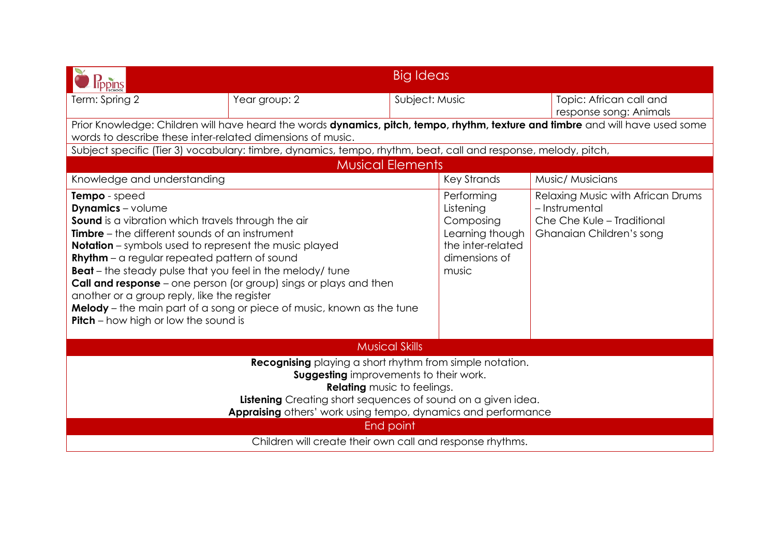| Big Ideas<br>ippins                                                                                                                                                                                                                                                                                                                                                                                                                                                                                                                                                                                           |                                                                                                                |  |                                                                                                        |                                                                                                               |  |
|---------------------------------------------------------------------------------------------------------------------------------------------------------------------------------------------------------------------------------------------------------------------------------------------------------------------------------------------------------------------------------------------------------------------------------------------------------------------------------------------------------------------------------------------------------------------------------------------------------------|----------------------------------------------------------------------------------------------------------------|--|--------------------------------------------------------------------------------------------------------|---------------------------------------------------------------------------------------------------------------|--|
| Term: Spring 2                                                                                                                                                                                                                                                                                                                                                                                                                                                                                                                                                                                                | Subject: Music<br>Year group: 2                                                                                |  |                                                                                                        | Topic: African call and<br>response song: Animals                                                             |  |
| Prior Knowledge: Children will have heard the words dynamics, pitch, tempo, rhythm, texture and timbre and will have used some<br>words to describe these inter-related dimensions of music.                                                                                                                                                                                                                                                                                                                                                                                                                  |                                                                                                                |  |                                                                                                        |                                                                                                               |  |
|                                                                                                                                                                                                                                                                                                                                                                                                                                                                                                                                                                                                               | Subject specific (Tier 3) vocabulary: timbre, dynamics, tempo, rhythm, beat, call and response, melody, pitch, |  |                                                                                                        |                                                                                                               |  |
|                                                                                                                                                                                                                                                                                                                                                                                                                                                                                                                                                                                                               | <b>Musical Elements</b>                                                                                        |  |                                                                                                        |                                                                                                               |  |
| Knowledge and understanding                                                                                                                                                                                                                                                                                                                                                                                                                                                                                                                                                                                   |                                                                                                                |  | <b>Key Strands</b>                                                                                     | Music/ Musicians                                                                                              |  |
| Tempo - speed<br><b>Dynamics</b> - volume<br><b>Sound</b> is a vibration which travels through the air<br><b>Timbre</b> – the different sounds of an instrument<br><b>Notation</b> – symbols used to represent the music played<br><b>Rhythm</b> - a regular repeated pattern of sound<br><b>Beat</b> – the steady pulse that you feel in the melody/ tune<br><b>Call and response</b> – one person (or group) sings or plays and then<br>another or a group reply, like the register<br>Melody - the main part of a song or piece of music, known as the tune<br><b>Pitch</b> – how high or low the sound is |                                                                                                                |  | Performing<br>Listening<br>Composing<br>Learning though<br>the inter-related<br>dimensions of<br>music | Relaxing Music with African Drums<br>- Instrumental<br>Che Che Kule - Traditional<br>Ghanaian Children's song |  |
| <b>Musical Skills</b>                                                                                                                                                                                                                                                                                                                                                                                                                                                                                                                                                                                         |                                                                                                                |  |                                                                                                        |                                                                                                               |  |
| <b>Recognising</b> playing a short rhythm from simple notation.<br><b>Suggesting</b> improvements to their work.<br><b>Relating</b> music to feelings.<br>Listening Creating short sequences of sound on a given idea.<br>Appraising others' work using tempo, dynamics and performance<br>End point                                                                                                                                                                                                                                                                                                          |                                                                                                                |  |                                                                                                        |                                                                                                               |  |
| Children will create their own call and response rhythms.                                                                                                                                                                                                                                                                                                                                                                                                                                                                                                                                                     |                                                                                                                |  |                                                                                                        |                                                                                                               |  |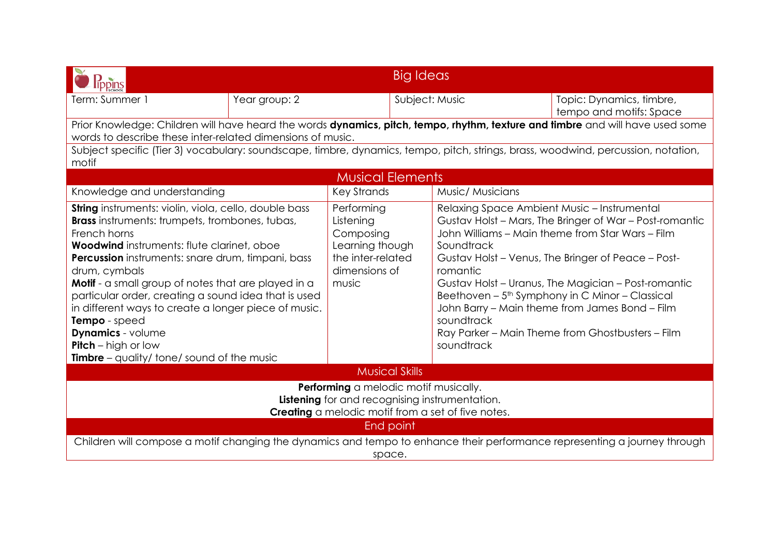| <b>Big Ideas</b>                                                                                                                                                                                                                                                                                                                                                                                                                                                                                                                                                 |               |                                                                                                        |                                                    |                                                                                                                                                                                                                                                                                                                                                                                                                                              |  |
|------------------------------------------------------------------------------------------------------------------------------------------------------------------------------------------------------------------------------------------------------------------------------------------------------------------------------------------------------------------------------------------------------------------------------------------------------------------------------------------------------------------------------------------------------------------|---------------|--------------------------------------------------------------------------------------------------------|----------------------------------------------------|----------------------------------------------------------------------------------------------------------------------------------------------------------------------------------------------------------------------------------------------------------------------------------------------------------------------------------------------------------------------------------------------------------------------------------------------|--|
| Term: Summer 1                                                                                                                                                                                                                                                                                                                                                                                                                                                                                                                                                   | Year group: 2 | Subject: Music                                                                                         |                                                    | Topic: Dynamics, timbre,<br>tempo and motifs: Space                                                                                                                                                                                                                                                                                                                                                                                          |  |
| Prior Knowledge: Children will have heard the words dynamics, pitch, tempo, rhythm, texture and timbre and will have used some<br>words to describe these inter-related dimensions of music.                                                                                                                                                                                                                                                                                                                                                                     |               |                                                                                                        |                                                    |                                                                                                                                                                                                                                                                                                                                                                                                                                              |  |
| motif                                                                                                                                                                                                                                                                                                                                                                                                                                                                                                                                                            |               |                                                                                                        |                                                    | Subject specific (Tier 3) vocabulary: soundscape, timbre, dynamics, tempo, pitch, strings, brass, woodwind, percussion, notation,                                                                                                                                                                                                                                                                                                            |  |
|                                                                                                                                                                                                                                                                                                                                                                                                                                                                                                                                                                  |               | <b>Musical Elements</b>                                                                                |                                                    |                                                                                                                                                                                                                                                                                                                                                                                                                                              |  |
| Knowledge and understanding                                                                                                                                                                                                                                                                                                                                                                                                                                                                                                                                      |               | <b>Key Strands</b>                                                                                     |                                                    | Music/ Musicians                                                                                                                                                                                                                                                                                                                                                                                                                             |  |
| String instruments: violin, viola, cello, double bass<br><b>Brass</b> instruments: trumpets, trombones, tubas,<br>French horns<br><b>Woodwind</b> instruments: flute clarinet, oboe<br><b>Percussion</b> instruments: snare drum, timpani, bass<br>drum, cymbals<br>Motif - a small group of notes that are played in a<br>particular order, creating a sound idea that is used<br>in different ways to create a longer piece of music.<br>Tempo - speed<br><b>Dynamics</b> - volume<br><b>Pitch</b> – high or low<br>Timbre - quality/ tone/ sound of the music |               | Performing<br>Listening<br>Composing<br>Learning though<br>the inter-related<br>dimensions of<br>music | Soundtrack<br>romantic<br>soundtrack<br>soundtrack | Relaxing Space Ambient Music - Instrumental<br>Gustav Holst - Mars, The Bringer of War - Post-romantic<br>John Williams - Main theme from Star Wars - Film<br>Gustav Holst - Venus, The Bringer of Peace - Post-<br>Gustav Holst - Uranus, The Magician - Post-romantic<br>Beethoven - 5 <sup>th</sup> Symphony in C Minor - Classical<br>John Barry - Main theme from James Bond - Film<br>Ray Parker - Main Theme from Ghostbusters - Film |  |
| <b>Musical Skills</b>                                                                                                                                                                                                                                                                                                                                                                                                                                                                                                                                            |               |                                                                                                        |                                                    |                                                                                                                                                                                                                                                                                                                                                                                                                                              |  |
| Performing a melodic motif musically.<br>Listening for and recognising instrumentation.<br>Creating a melodic motif from a set of five notes.                                                                                                                                                                                                                                                                                                                                                                                                                    |               |                                                                                                        |                                                    |                                                                                                                                                                                                                                                                                                                                                                                                                                              |  |
| End point<br>Children will compose a motif changing the dynamics and tempo to enhance their performance representing a journey through<br>space.                                                                                                                                                                                                                                                                                                                                                                                                                 |               |                                                                                                        |                                                    |                                                                                                                                                                                                                                                                                                                                                                                                                                              |  |